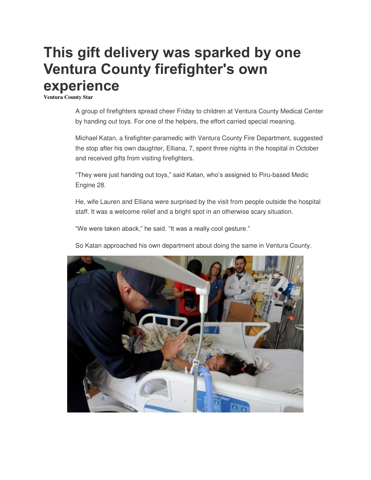## **This gift delivery was sparked by one Ventura County firefighter's own experience**

**Ventura County Star**

A group of firefighters spread cheer Friday to children at Ventura County Medical Center by handing out toys. For one of the helpers, the effort carried special meaning.

Michael Katan, a firefighter-paramedic with Ventura County Fire Department, suggested the stop after his own daughter, Elliana, 7, spent three nights in the hospital in October and received gifts from visiting firefighters.

"They were just handing out toys," said Katan, who's assigned to Piru-based Medic Engine 28.

He, wife Lauren and Elliana were surprised by the visit from people outside the hospital staff. It was a welcome relief and a bright spot in an otherwise scary situation.

"We were taken aback," he said. "It was a really cool gesture."

So Katan approached his own department about doing the same in Ventura County.